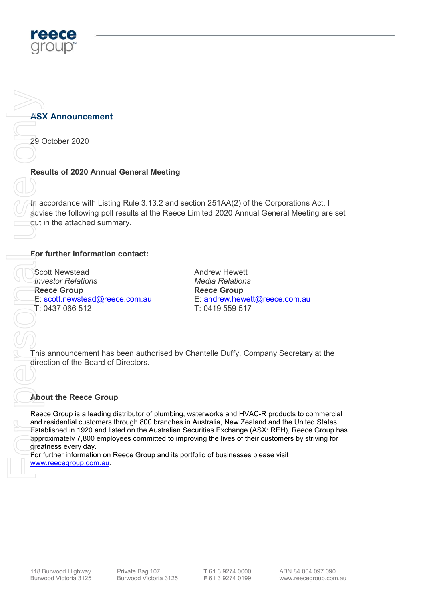

# **ASX Announcement**

29 October 2020

## Results of 2020 Annual General Meeting

In accordance with Listing Rule 3.13.2 and section 251AA(2) of the Corporations Act, I advise the following poll results at the Reece Limited 2020 Annual General Meeting are set out in the attached summary.

### For further information contact:

Scott Newstead Investor Relations Reece Group E: scott.newstead@reece.com.au T: 0437 066 512 ASX Announcement<br>
29 October 2020<br>
Results of 2020 Annua<br>
Handcordance with Listin<br>
divise the following poll<br>
out in the attached sum<br>
For further information<br>
For further information<br>
Recec Group<br>
T: 0437 066 512<br>
(T: 04

Andrew Hewett Media Relations Reece Group E: andrew.hewett@reece.com.au T: 0419 559 517

This announcement has been authorised by Chantelle Duffy, Company Secretary at the direction of the Board of Directors.

#### About the Reece Group

Reece Group is a leading distributor of plumbing, waterworks and HVAC-R products to commercial and residential customers through 800 branches in Australia, New Zealand and the United States. Established in 1920 and listed on the Australian Securities Exchange (ASX: REH), Reece Group has approximately 7,800 employees committed to improving the lives of their customers by striving for greatness every day.

For further information on Reece Group and its portfolio of businesses please visit